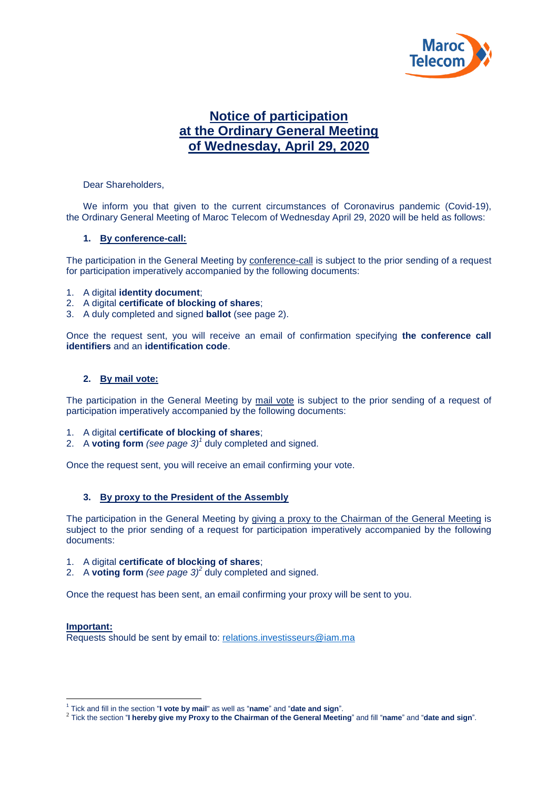

## **Notice of participation at the Ordinary General Meeting of Wednesday, April 29, 2020**

Dear Shareholders,

We inform you that given to the current circumstances of Coronavirus pandemic (Covid-19), the Ordinary General Meeting of Maroc Telecom of Wednesday April 29, 2020 will be held as follows:

### **1. By conference-call:**

The participation in the General Meeting by conference-call is subject to the prior sending of a request for participation imperatively accompanied by the following documents:

- 1. A digital **identity document**;
- 2. A digital **certificate of blocking of shares**;
- 3. A duly completed and signed **ballot** (see page 2).

Once the request sent, you will receive an email of confirmation specifying **the conference call identifiers** and an **identification code**.

### **2. By mail vote:**

The participation in the General Meeting by mail vote is subject to the prior sending of a request of participation imperatively accompanied by the following documents:

- 1. A digital **certificate of blocking of shares**;
- 2. A **voting form** *(see page 3) 1* duly completed and signed.

Once the request sent, you will receive an email confirming your vote.

### **3. By proxy to the President of the Assembly**

The participation in the General Meeting by giving a proxy to the Chairman of the General Meeting is subject to the prior sending of a request for participation imperatively accompanied by the following documents:

- 1. A digital **certificate of blocking of shares**;
- 2. A **voting form** (see page  $3)^2$  duly completed and signed.

Once the request has been sent, an email confirming your proxy will be sent to you.

#### **Important:**

1

Requests should be sent by email to: relations.investisseurs@iam.ma

<sup>1</sup> Tick and fill in the section "**I vote by mail**" as well as "**name**" and "**date and sign**".

<sup>2</sup> Tick the section "**I hereby give my Proxy to the Chairman of the General Meeting**" and fill "**name**" and "**date and sign**".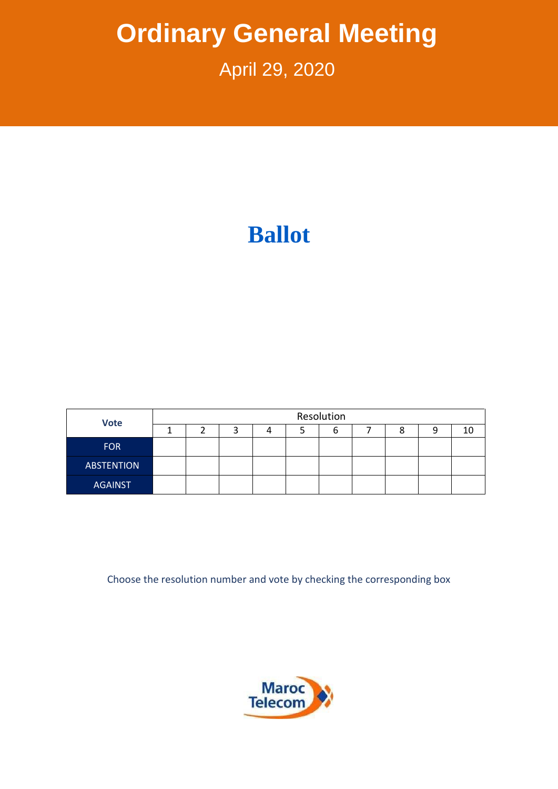# **Ordinary General Meeting**

## April 29, 2020

# **Ballot**

| <b>Vote</b>       | Resolution |  |  |  |  |  |  |  |  |    |  |
|-------------------|------------|--|--|--|--|--|--|--|--|----|--|
|                   |            |  |  |  |  |  |  |  |  | 10 |  |
| <b>FOR</b>        |            |  |  |  |  |  |  |  |  |    |  |
| <b>ABSTENTION</b> |            |  |  |  |  |  |  |  |  |    |  |
| <b>AGAINST</b>    |            |  |  |  |  |  |  |  |  |    |  |

Choose the resolution number and vote by checking the corresponding box